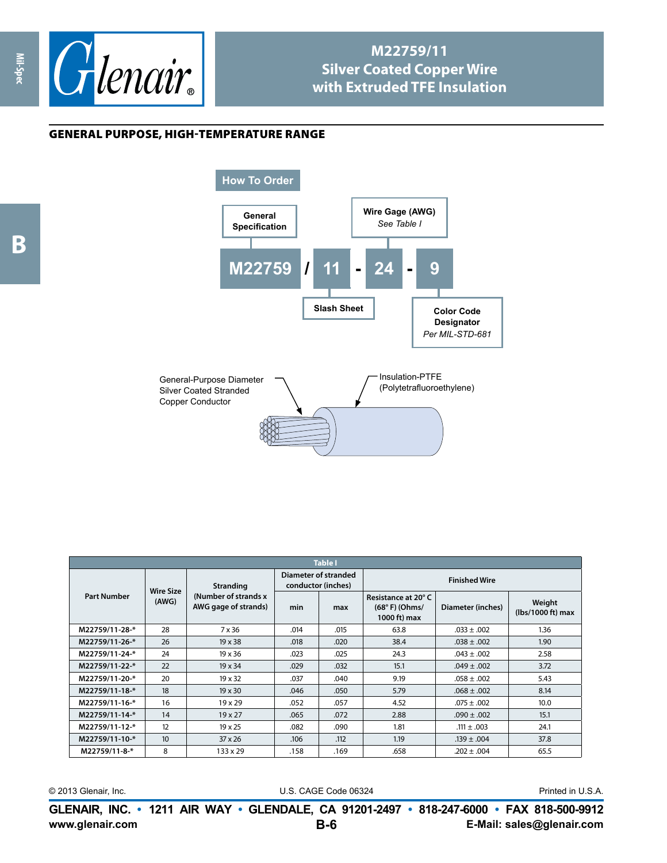

## **M22759/11 Silver Coated Copper Wire with Extruded TFE Insulation**

## general purpose, high-temperature range

**Mil-Spec**



| <b>Table I</b>     |                           |                                                                   |                                            |      |                                                        |                   |                             |  |
|--------------------|---------------------------|-------------------------------------------------------------------|--------------------------------------------|------|--------------------------------------------------------|-------------------|-----------------------------|--|
| <b>Part Number</b> | <b>Wire Size</b><br>(AWG) | <b>Stranding</b><br>(Number of strands x)<br>AWG gage of strands) | Diameter of stranded<br>conductor (inches) |      | <b>Finished Wire</b>                                   |                   |                             |  |
|                    |                           |                                                                   | min                                        | max  | Resistance at 20°C<br>$(68° F)$ (Ohms/<br>1000 ft) max | Diameter (inches) | Weight<br>(lbs/1000 ft) max |  |
| M22759/11-28-*     | 28                        | 7 x 36                                                            | .014                                       | .015 | 63.8                                                   | $.033 \pm .002$   | 1.36                        |  |
| M22759/11-26-*     | 26                        | $19 \times 38$                                                    | .018                                       | .020 | 38.4                                                   | $.038 \pm .002$   | 1.90                        |  |
| M22759/11-24-*     | 24                        | $19 \times 36$                                                    | .023                                       | .025 | 24.3                                                   | $.043 \pm .002$   | 2.58                        |  |
| M22759/11-22-*     | 22                        | $19 \times 34$                                                    | .029                                       | .032 | 15.1                                                   | $.049 \pm .002$   | 3.72                        |  |
| M22759/11-20-*     | 20                        | $19 \times 32$                                                    | .037                                       | .040 | 9.19                                                   | $.058 \pm .002$   | 5.43                        |  |
| M22759/11-18-*     | 18                        | $19 \times 30$                                                    | .046                                       | .050 | 5.79                                                   | $.068 \pm .002$   | 8.14                        |  |
| M22759/11-16-*     | 16                        | $19 \times 29$                                                    | .052                                       | .057 | 4.52                                                   | $.075 \pm .002$   | 10.0                        |  |
| M22759/11-14-*     | 14                        | $19 \times 27$                                                    | .065                                       | .072 | 2.88                                                   | $.090 \pm .002$   | 15.1                        |  |
| M22759/11-12-*     | 12                        | 19 x 25                                                           | .082                                       | .090 | 1.81                                                   | $.111 \pm .003$   | 24.1                        |  |
| M22759/11-10-*     | 10                        | $37 \times 26$                                                    | .106                                       | .112 | 1.19                                                   | $.139 \pm .004$   | 37.8                        |  |
| M22759/11-8-*      | 8                         | $133 \times 29$                                                   | .158                                       | .169 | .658                                                   | $.202 \pm .004$   | 65.5                        |  |

© 2013 Glenair, Inc. U.S. CAGE Code 06324 Printed in U.S.A.

**www.glenair.com E-Mail: sales@glenair.com GLENAIR, INC. • 1211 AIR WAY • GLENDALE, CA 91201-2497 • 818-247-6000 • FAX 818-500-9912 B-6**